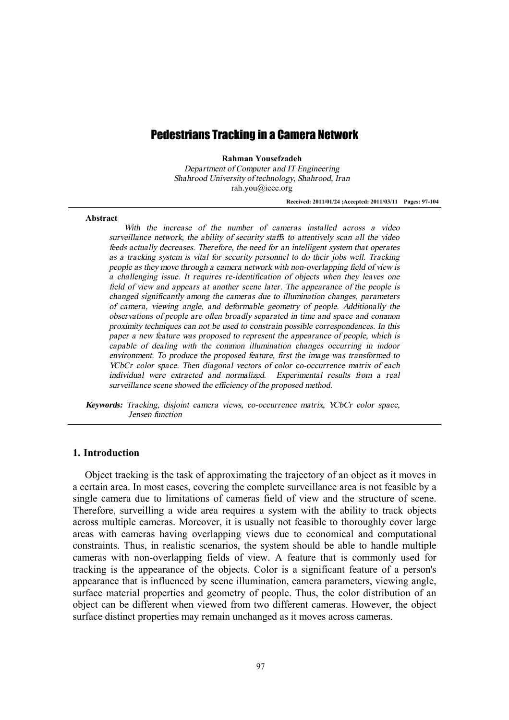# Pedestrians Tracking in a Camera Network

**Rahman Yousefzadeh** 

*Department of Computer and IT Engineering Shahrood University of technology, Shahrood, Iran*  rah.you@ieee.org

**Received: 2011/01/24 ;Accepted: 2011/03/11 Pages: 97-104** 

### **Abstract**

*With the increase of the number of cameras installed across <sup>a</sup> video surveillance network, the ability of security staffs to attentively scan all the video feeds actually decreases. Therefore, the need for an intelligent system that operates as <sup>a</sup> tracking system is vital for security personnel to do their jobs well. Tracking people as they move through <sup>a</sup> camera network with non-overlapping field of view is <sup>a</sup> challenging issue. It requires re-identification of objects when they leaves one field of view and appears at another scene later. The appearance of the people is changed significantly among the cameras due to illumination changes, parameters of camera, viewing angle, and deformable geometry of people. Additionally the observations of people are often broadly separated in time and space and common proximity techniques can not be used to constrain possible correspondences. In this paper <sup>a</sup> new feature was proposed to represent the appearance of people, which is capable of dealing with the common illumination changes occurring in indoor environment. To produce the proposed feature, first the image was transformed to YCbCr color space. Then diagonal vectors of color co-occurrence matrix of each individual were extracted and normalized. Experimental results from <sup>a</sup> real surveillance scene showed the efficiency of the proposed method.* 

*Keywords: Tracking, disjoint camera views, co-occurrence matrix, YCbCr color space, Jensen function* 

#### **1. Introduction**

Object tracking is the task of approximating the trajectory of an object as it moves in a certain area. In most cases, covering the complete surveillance area is not feasible by a single camera due to limitations of cameras field of view and the structure of scene. Therefore, surveilling a wide area requires a system with the ability to track objects across multiple cameras. Moreover, it is usually not feasible to thoroughly cover large areas with cameras having overlapping views due to economical and computational constraints. Thus, in realistic scenarios, the system should be able to handle multiple cameras with non-overlapping fields of view. A feature that is commonly used for tracking is the appearance of the objects. Color is a significant feature of a person's appearance that is influenced by scene illumination, camera parameters, viewing angle, surface material properties and geometry of people. Thus, the color distribution of an object can be different when viewed from two different cameras. However, the object surface distinct properties may remain unchanged as it moves across cameras.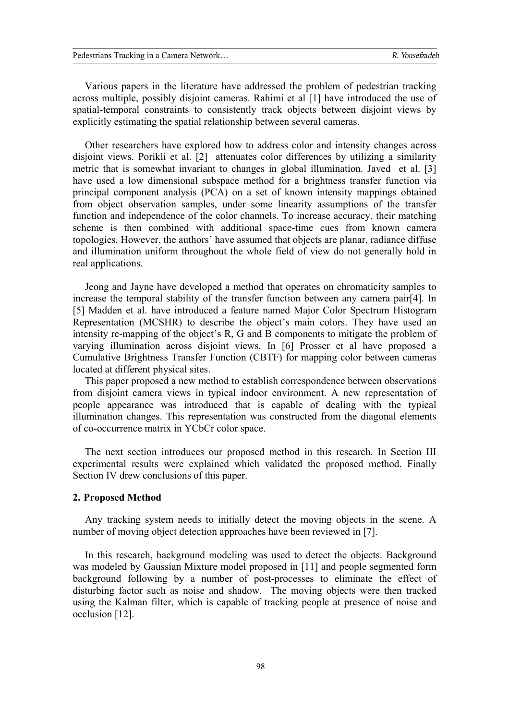Various papers in the literature have addressed the problem of pedestrian tracking across multiple, possibly disjoint cameras. Rahimi et al [1] have introduced the use of spatial-temporal constraints to consistently track objects between disjoint views by explicitly estimating the spatial relationship between several cameras.

Other researchers have explored how to address color and intensity changes across disjoint views. Porikli et al. [2] attenuates color differences by utilizing a similarity metric that is somewhat invariant to changes in global illumination. Javed et al. [3] have used a low dimensional subspace method for a brightness transfer function via principal component analysis (PCA) on a set of known intensity mappings obtained from object observation samples, under some linearity assumptions of the transfer function and independence of the color channels. To increase accuracy, their matching scheme is then combined with additional space-time cues from known camera topologies. However, the authors' have assumed that objects are planar, radiance diffuse and illumination uniform throughout the whole field of view do not generally hold in real applications.

Jeong and Jayne have developed a method that operates on chromaticity samples to increase the temporal stability of the transfer function between any camera pair[4]. In [5] Madden et al. have introduced a feature named Major Color Spectrum Histogram Representation (MCSHR) to describe the object's main colors. They have used an intensity re-mapping of the object's R, G and B components to mitigate the problem of varying illumination across disjoint views. In [6] Prosser et al have proposed a Cumulative Brightness Transfer Function (CBTF) for mapping color between cameras located at different physical sites.

This paper proposed a new method to establish correspondence between observations from disjoint camera views in typical indoor environment. A new representation of people appearance was introduced that is capable of dealing with the typical illumination changes. This representation was constructed from the diagonal elements of co-occurrence matrix in YCbCr color space.

The next section introduces our proposed method in this research. In Section III experimental results were explained which validated the proposed method. Finally Section IV drew conclusions of this paper.

### **2. Proposed Method**

Any tracking system needs to initially detect the moving objects in the scene. A number of moving object detection approaches have been reviewed in [7].

In this research, background modeling was used to detect the objects. Background was modeled by Gaussian Mixture model proposed in [11] and people segmented form background following by a number of post-processes to eliminate the effect of disturbing factor such as noise and shadow. The moving objects were then tracked using the Kalman filter, which is capable of tracking people at presence of noise and occlusion [12].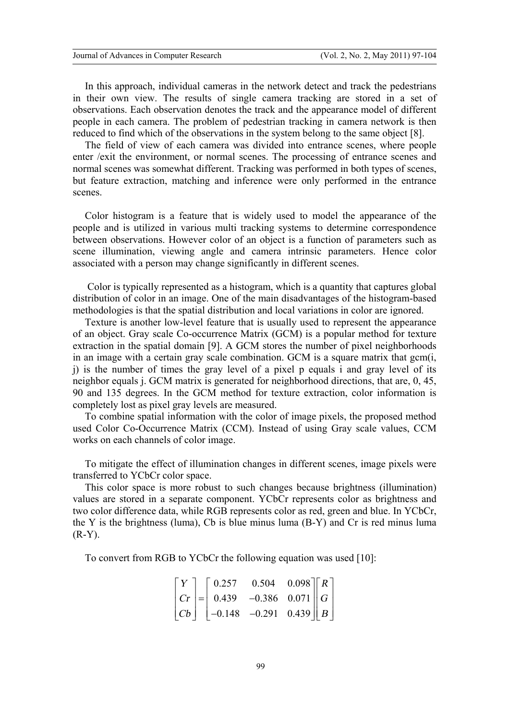In this approach, individual cameras in the network detect and track the pedestrians in their own view. The results of single camera tracking are stored in a set of observations. Each observation denotes the track and the appearance model of different people in each camera. The problem of pedestrian tracking in camera network is then reduced to find which of the observations in the system belong to the same object [8].

The field of view of each camera was divided into entrance scenes, where people enter /exit the environment, or normal scenes. The processing of entrance scenes and normal scenes was somewhat different. Tracking was performed in both types of scenes, but feature extraction, matching and inference were only performed in the entrance scenes.

Color histogram is a feature that is widely used to model the appearance of the people and is utilized in various multi tracking systems to determine correspondence between observations. However color of an object is a function of parameters such as scene illumination, viewing angle and camera intrinsic parameters. Hence color associated with a person may change significantly in different scenes.

 Color is typically represented as a histogram, which is a quantity that captures global distribution of color in an image. One of the main disadvantages of the histogram-based methodologies is that the spatial distribution and local variations in color are ignored.

Texture is another low-level feature that is usually used to represent the appearance of an object. Gray scale Co-occurrence Matrix (GCM) is a popular method for texture extraction in the spatial domain [9]. A GCM stores the number of pixel neighborhoods in an image with a certain gray scale combination. GCM is a square matrix that gcm(i, j) is the number of times the gray level of a pixel p equals i and gray level of its neighbor equals j. GCM matrix is generated for neighborhood directions, that are, 0, 45, 90 and 135 degrees. In the GCM method for texture extraction, color information is completely lost as pixel gray levels are measured.

To combine spatial information with the color of image pixels, the proposed method used Color Co-Occurrence Matrix (CCM). Instead of using Gray scale values, CCM works on each channels of color image.

To mitigate the effect of illumination changes in different scenes, image pixels were transferred to YCbCr color space.

This color space is more robust to such changes because brightness (illumination) values are stored in a separate component. YCbCr represents color as brightness and two color difference data, while RGB represents color as red, green and blue. In YCbCr, the Y is the brightness (luma), Cb is blue minus luma (B-Y) and Cr is red minus luma  $(R-Y)$ .

To convert from RGB to YCbCr the following equation was used [10]:

$$
\begin{bmatrix} Y \\ Cr \\ Cb \end{bmatrix} = \begin{bmatrix} 0.257 & 0.504 & 0.098 \\ 0.439 & -0.386 & 0.071 \\ -0.148 & -0.291 & 0.439 \end{bmatrix} \begin{bmatrix} R \\ G \\ B \end{bmatrix}
$$

 $=$   $-$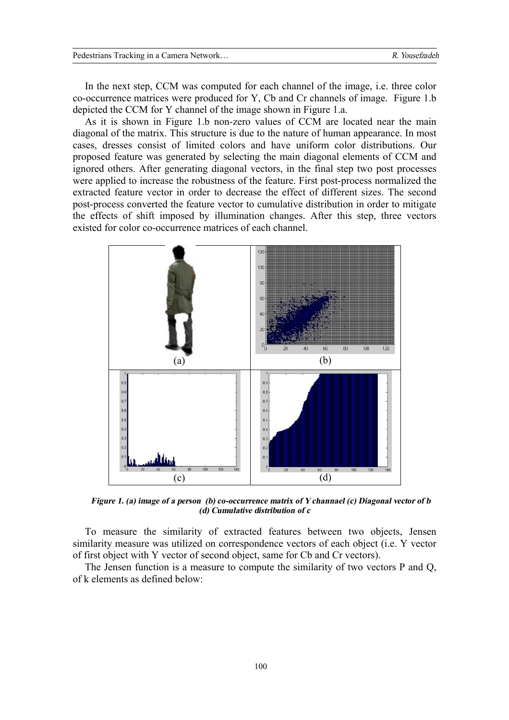In the next step, CCM was computed for each channel of the image, i.e. three color co-occurrence matrices were produced for Y, Cb and Cr channels of image. Figure 1.b depicted the CCM for Y channel of the image shown in Figure 1.a.

As it is shown in Figure 1.b non-zero values of CCM are located near the main diagonal of the matrix. This structure is due to the nature of human appearance. In most cases, dresses consist of limited colors and have uniform color distributions. Our proposed feature was generated by selecting the main diagonal elements of CCM and ignored others. After generating diagonal vectors, in the final step two post processes were applied to increase the robustness of the feature. First post-process normalized the extracted feature vector in order to decrease the effect of different sizes. The second post-process converted the feature vector to cumulative distribution in order to mitigate the effects of shift imposed by illumination changes. After this step, three vectors existed for color co-occurrence matrices of each channel.



*Figure 1. (a) image of <sup>a</sup> person (b) co-occurrence matrix of Y channael (c) Diagonal vector of b (d) Cumulative distribution of <sup>c</sup>*

To measure the similarity of extracted features between two objects, Jensen similarity measure was utilized on correspondence vectors of each object (i.e. Y vector of first object with Y vector of second object, same for Cb and Cr vectors).

The Jensen function is a measure to compute the similarity of two vectors P and Q, of k elements as defined below: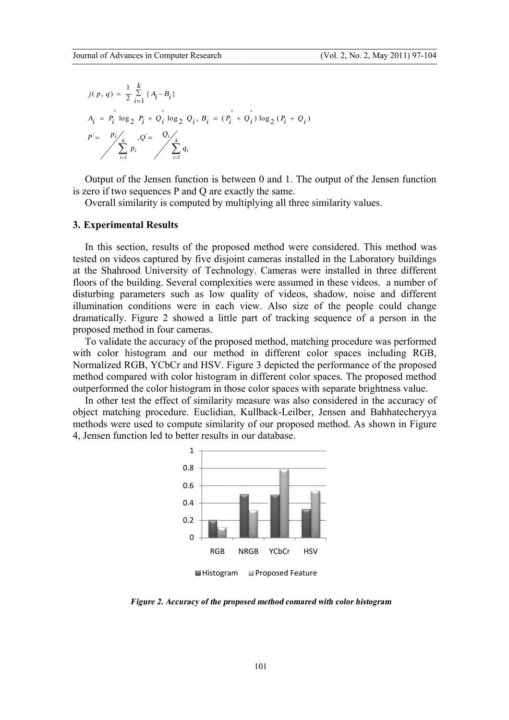$$
j(p, q) = \frac{1}{2} \sum_{i=1}^{k} \{A_i - B_i\}
$$
  
\n
$$
A_i = P_i \log_2 P_i + Q_i \log_2 Q_i, B_i = (P_i + Q_i) \log_2 (P_i + Q_i)
$$
  
\n
$$
P = \sum_{i=1}^{p_i} P_i
$$
  
\n
$$
\sum_{i=1}^{k} q_i
$$

is zero if two sequences P and Q are exactly the same. Output of the Jensen function is between 0 and 1. The output of the Jensen function

Overall similarity is computed by multiplying all three similarity values.

### **3. Experiment Experimental R al Results**

tested on videos captured by five disjoint cameras installed in the Laboratory buildings at the Shahrood University of Technology. Cameras were installed in three different floors of the building. Several complexities were assumed in these videos. a number of disturbing parameters such as low quality of videos, shadow, noise and different illumination conditions were in each view. Also size of the people could change dramatically. Figure 2 sho proposed method in four cameras. In this section, results of the proposed method were considered. This method was  $\sum_{i=1}^{p_i} p_i$ ,  $Q_i = \sum_{i=1}^{Q_i} q_i$ <br>
utput of the Jensen function is bet<br>
co if two sequences P and Q are exaverall similarity is computed by mu<br> **perimental Results**<br>
this section, results of the propo<br>
d on videos captu building.<br>arameters<br>condition<br>Figure<br>thod in fc<br>te the acc<br>histogram<br>RGB, YC<br>pared wit<br>d the colo<br>est the ef<br>hing proc<br>re used to<br>net to the colo everal complexities were assumed in these videos. a number of such as low quality of videos, shadow, noise and different were in each view. Also size of the people could change showed a little part of tracking sequence of of the state of the state of the state of the state of the state of the state of the state of the state of the state of the state of the proposed method were considered. This method was yfive disjoint cameras installed in

with color histogram and our method in different color spaces including RGB, with color histogram and our method in different color spaces including RGB,<br>Normalized RGB, YCbCr and HSV. Figure 3 depicted the performance of the proposed method compared with color histogram in different color spaces. The proposed method outperformed the color histogram in those color spaces with separate brightness value. To validate the accuracy of the proposed method, matching procedure was performed ized RGB, YCbCr and HSV. Figure 3 depicted the performance of the proposed compared with color histogram in different color spaces. The proposed method ormed the color histogram in those color spaces with separate brightne

object matching procedure. Euclidian, Kullback methods were used to compute similarity of our proposed method. As shown in Figure 4, Jensen funct function led to better results in our database. In other test the effect of similarity measure was also considered in the accuracy of est the effect of similarity measure was also considered in the accuracy<br>hing procedure. Euclidian, Kullback-Leilber, Jensen and Bahhatechery<br>re used to compute similarity of our proposed method. As shown in Fig<br>nction led Kullback-Leilber, Jensen and Bahhatecheryya Leilber,



**■** Histogram ■ Proposed Feature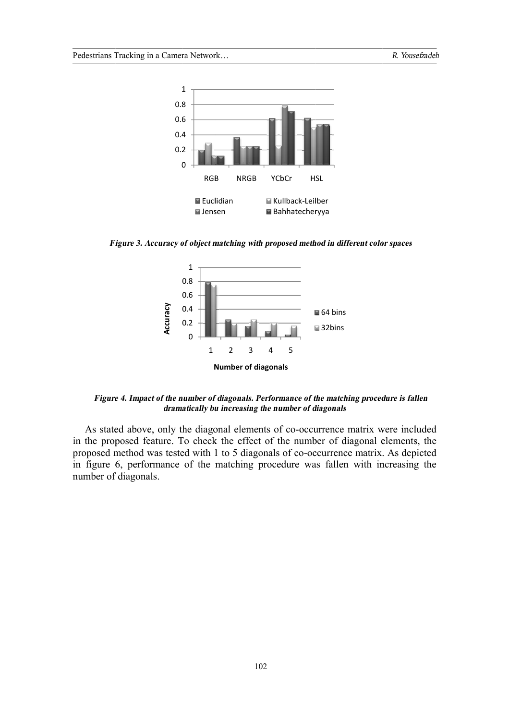

Figure 3. Accuracy of object matching with proposed method in different color spaces



*Figure 4. Impact of the number of diagonals. Performance of the matching procedure is fallen numberdramatically bu increasing the number of diagonals*

in the proposed feature. To check the effect of the number of diagonal elements, the proposed method was tested with 1 to 5 diagonals of co-occurrence matrix. As depicted in figure 6, performance of the matching procedure was fallen with increasing the number of diagonals. As stated above, only the diagonal elements of co-occurrence matrix were included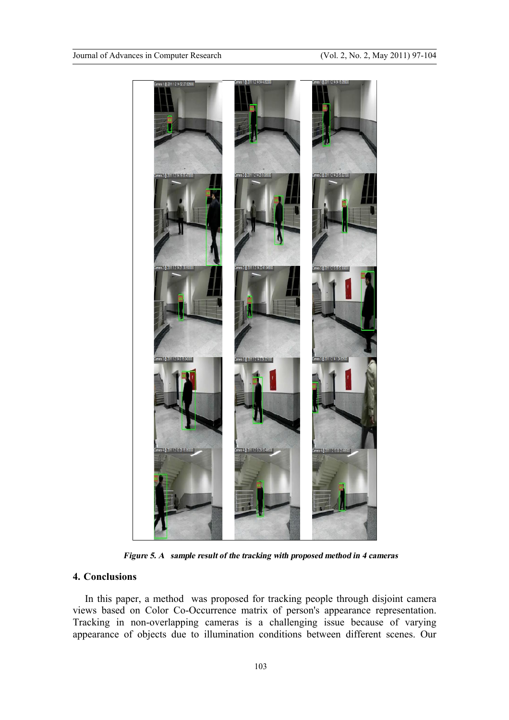

*Figure 5. A sample result of the tracking with proposed method in 4 cameras* 

# **4. Conclusions**

In this paper, a method was proposed for tracking people through disjoint camera views based on Color Co-Occurrence matrix of person's appearance representation. Tracking in non-overlapping cameras is a challenging issue because of varying appearance of objects due to illumination conditions between different scenes. Our